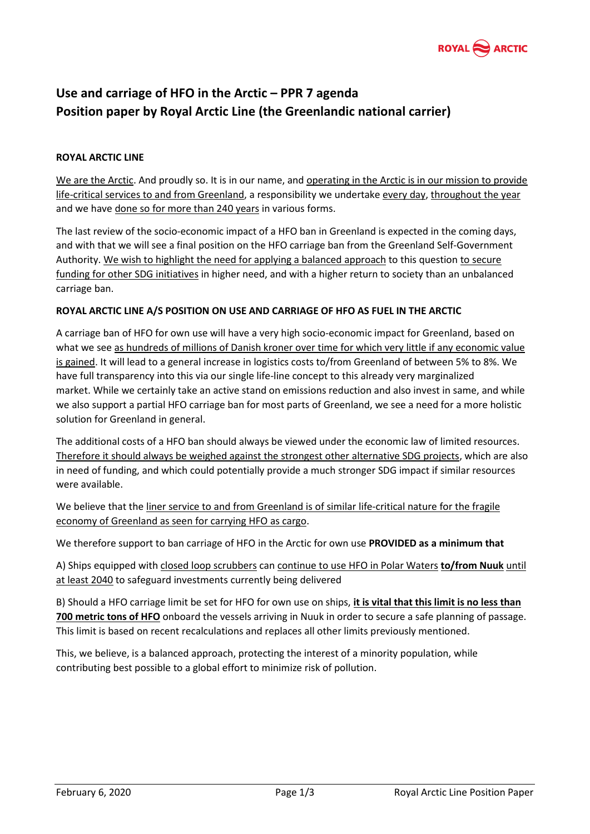

# **Use and carriage of HFO in the Arctic – PPR 7 agenda Position paper by Royal Arctic Line (the Greenlandic national carrier)**

# **ROYAL ARCTIC LINE**

We are the Arctic. And proudly so. It is in our name, and operating in the Arctic is in our mission to provide life-critical services to and from Greenland, a responsibility we undertake every day, throughout the year and we have done so for more than 240 years in various forms.

The last review of the socio-economic impact of a HFO ban in Greenland is expected in the coming days, and with that we will see a final position on the HFO carriage ban from the Greenland Self-Government Authority. We wish to highlight the need for applying a balanced approach to this question to secure funding for other SDG initiatives in higher need, and with a higher return to society than an unbalanced carriage ban.

#### **ROYAL ARCTIC LINE A/S POSITION ON USE AND CARRIAGE OF HFO AS FUEL IN THE ARCTIC**

A carriage ban of HFO for own use will have a very high socio-economic impact for Greenland, based on what we see as hundreds of millions of Danish kroner over time for which very little if any economic value is gained. It will lead to a general increase in logistics costs to/from Greenland of between 5% to 8%. We have full transparency into this via our single life-line concept to this already very marginalized market. While we certainly take an active stand on emissions reduction and also invest in same, and while we also support a partial HFO carriage ban for most parts of Greenland, we see a need for a more holistic solution for Greenland in general.

The additional costs of a HFO ban should always be viewed under the economic law of limited resources. Therefore it should always be weighed against the strongest other alternative SDG projects, which are also in need of funding, and which could potentially provide a much stronger SDG impact if similar resources were available.

We believe that the liner service to and from Greenland is of similar life-critical nature for the fragile economy of Greenland as seen for carrying HFO as cargo.

We therefore support to ban carriage of HFO in the Arctic for own use **PROVIDED as a minimum that** 

A) Ships equipped with closed loop scrubbers can continue to use HFO in Polar Waters **to/from Nuuk** until at least 2040 to safeguard investments currently being delivered

B) Should a HFO carriage limit be set for HFO for own use on ships, **it is vital that this limit is no less than 700 metric tons of HFO** onboard the vessels arriving in Nuuk in order to secure a safe planning of passage. This limit is based on recent recalculations and replaces all other limits previously mentioned.

This, we believe, is a balanced approach, protecting the interest of a minority population, while contributing best possible to a global effort to minimize risk of pollution.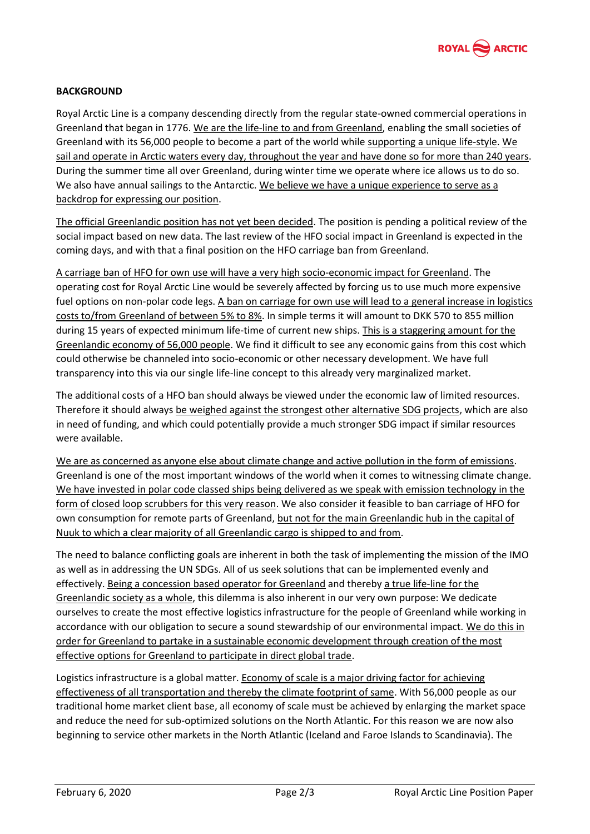

## **BACKGROUND**

Royal Arctic Line is a company descending directly from the regular state-owned commercial operations in Greenland that began in 1776. We are the life-line to and from Greenland, enabling the small societies of Greenland with its 56,000 people to become a part of the world while supporting a unique life-style. We sail and operate in Arctic waters every day, throughout the year and have done so for more than 240 years. During the summer time all over Greenland, during winter time we operate where ice allows us to do so. We also have annual sailings to the Antarctic. We believe we have a unique experience to serve as a backdrop for expressing our position.

The official Greenlandic position has not yet been decided. The position is pending a political review of the social impact based on new data. The last review of the HFO social impact in Greenland is expected in the coming days, and with that a final position on the HFO carriage ban from Greenland.

A carriage ban of HFO for own use will have a very high socio-economic impact for Greenland. The operating cost for Royal Arctic Line would be severely affected by forcing us to use much more expensive fuel options on non-polar code legs. A ban on carriage for own use will lead to a general increase in logistics costs to/from Greenland of between 5% to 8%. In simple terms it will amount to DKK 570 to 855 million during 15 years of expected minimum life-time of current new ships. This is a staggering amount for the Greenlandic economy of 56,000 people. We find it difficult to see any economic gains from this cost which could otherwise be channeled into socio-economic or other necessary development. We have full transparency into this via our single life-line concept to this already very marginalized market.

The additional costs of a HFO ban should always be viewed under the economic law of limited resources. Therefore it should always be weighed against the strongest other alternative SDG projects, which are also in need of funding, and which could potentially provide a much stronger SDG impact if similar resources were available.

We are as concerned as anyone else about climate change and active pollution in the form of emissions. Greenland is one of the most important windows of the world when it comes to witnessing climate change. We have invested in polar code classed ships being delivered as we speak with emission technology in the form of closed loop scrubbers for this very reason. We also consider it feasible to ban carriage of HFO for own consumption for remote parts of Greenland, but not for the main Greenlandic hub in the capital of Nuuk to which a clear majority of all Greenlandic cargo is shipped to and from.

The need to balance conflicting goals are inherent in both the task of implementing the mission of the IMO as well as in addressing the UN SDGs. All of us seek solutions that can be implemented evenly and effectively. Being a concession based operator for Greenland and thereby a true life-line for the Greenlandic society as a whole, this dilemma is also inherent in our very own purpose: We dedicate ourselves to create the most effective logistics infrastructure for the people of Greenland while working in accordance with our obligation to secure a sound stewardship of our environmental impact. We do this in order for Greenland to partake in a sustainable economic development through creation of the most effective options for Greenland to participate in direct global trade.

Logistics infrastructure is a global matter. Economy of scale is a major driving factor for achieving effectiveness of all transportation and thereby the climate footprint of same. With 56,000 people as our traditional home market client base, all economy of scale must be achieved by enlarging the market space and reduce the need for sub-optimized solutions on the North Atlantic. For this reason we are now also beginning to service other markets in the North Atlantic (Iceland and Faroe Islands to Scandinavia). The